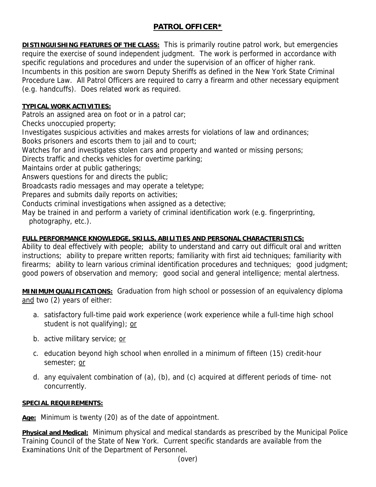## **PATROL OFFICER\***

**DISTINGUISHING FEATURES OF THE CLASS:** This is primarily routine patrol work, but emergencies require the exercise of sound independent judgment. The work is performed in accordance with specific regulations and procedures and under the supervision of an officer of higher rank. Incumbents in this position are sworn Deputy Sheriffs as defined in the New York State Criminal Procedure Law. All Patrol Officers are required to carry a firearm and other necessary equipment (e.g. handcuffs). Does related work as required.

## **TYPICAL WORK ACTIVITIES:**

Patrols an assigned area on foot or in a patrol car;

Checks unoccupied property;

Investigates suspicious activities and makes arrests for violations of law and ordinances;

Books prisoners and escorts them to jail and to court;

Watches for and investigates stolen cars and property and wanted or missing persons;

Directs traffic and checks vehicles for overtime parking;

Maintains order at public gatherings;

Answers questions for and directs the public;

Broadcasts radio messages and may operate a teletype;

Prepares and submits daily reports on activities;

Conducts criminal investigations when assigned as a detective;

May be trained in and perform a variety of criminal identification work (e.g. fingerprinting, photography, etc.).

## **FULL PERFORMANCE KNOWLEDGE, SKILLS, ABILITIES AND PERSONAL CHARACTERISTICS:**

Ability to deal effectively with people; ability to understand and carry out difficult oral and written instructions; ability to prepare written reports; familiarity with first aid techniques; familiarity with firearms; ability to learn various criminal identification procedures and techniques; good judgment; good powers of observation and memory; good social and general intelligence; mental alertness.

**MINIMUM QUALIFICATIONS:** Graduation from high school or possession of an equivalency diploma and two (2) years of either:

- a. satisfactory full-time paid work experience (work experience while a full-time high school student is not qualifying); or
- b. active military service; or
- c. education beyond high school when enrolled in a minimum of fifteen (15) credit-hour semester; or
- d. any equivalent combination of (a), (b), and (c) acquired at different periods of time- not concurrently.

## **SPECIAL REQUIREMENTS:**

**Age:** Minimum is twenty (20) as of the date of appointment.

**Physical and Medical:** Minimum physical and medical standards as prescribed by the Municipal Police Training Council of the State of New York. Current specific standards are available from the Examinations Unit of the Department of Personnel.